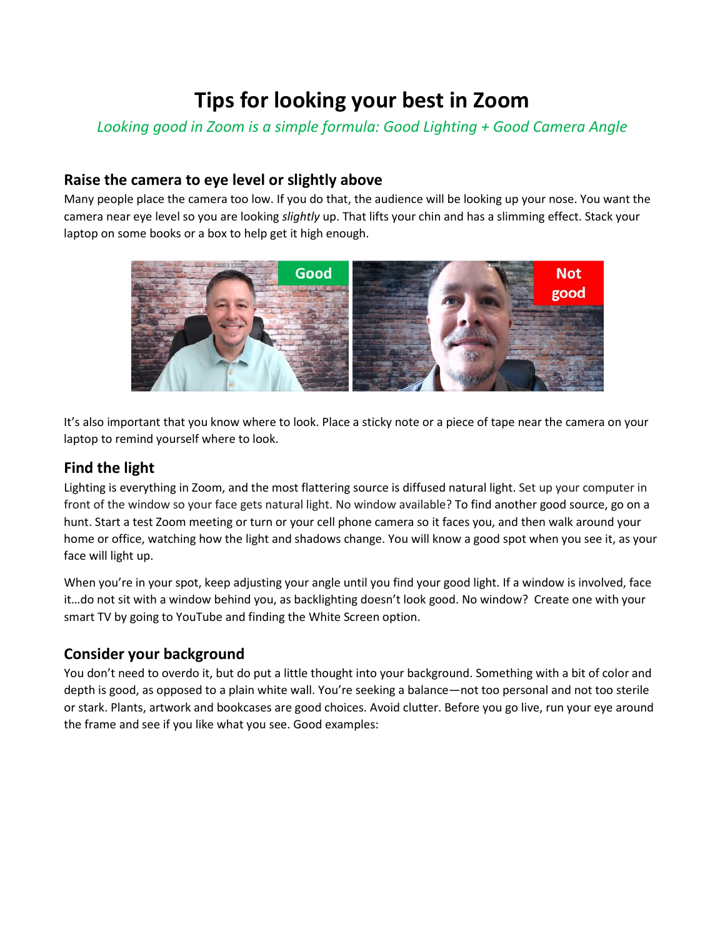# **Tips for looking your best in Zoom**

*Looking good in Zoom is a simple formula: Good Lighting + Good Camera Angle* 

# **Raise the camera to eye level or slightly above**

Many people place the camera too low. If you do that, the audience will be looking up your nose. You want the camera near eye level so you are looking *slightly* up. That lifts your chin and has a slimming effect. Stack your laptop on some books or a box to help get it high enough.



It's also important that you know where to look. Place a sticky note or a piece of tape near the camera on your laptop to remind yourself where to look.

# **Find the light**

Lighting is everything in Zoom, and the most flattering source is diffused natural light. Set up your computer in front of the window so your face gets natural light. No window available? To find another good source, go on a hunt. Start a test Zoom meeting or turn or your cell phone camera so it faces you, and then walk around your home or office, watching how the light and shadows change. You will know a good spot when you see it, as your face will light up.

When you're in your spot, keep adjusting your angle until you find your good light. If a window is involved, face it…do not sit with a window behind you, as backlighting doesn't look good. No window? Create one with your smart TV by going to YouTube and finding the White Screen option.

## **Consider your background**

You don't need to overdo it, but do put a little thought into your background. Something with a bit of color and depth is good, as opposed to a plain white wall. You're seeking a balance—not too personal and not too sterile or stark. Plants, artwork and bookcases are good choices. Avoid clutter. Before you go live, run your eye around the frame and see if you like what you see. Good examples: